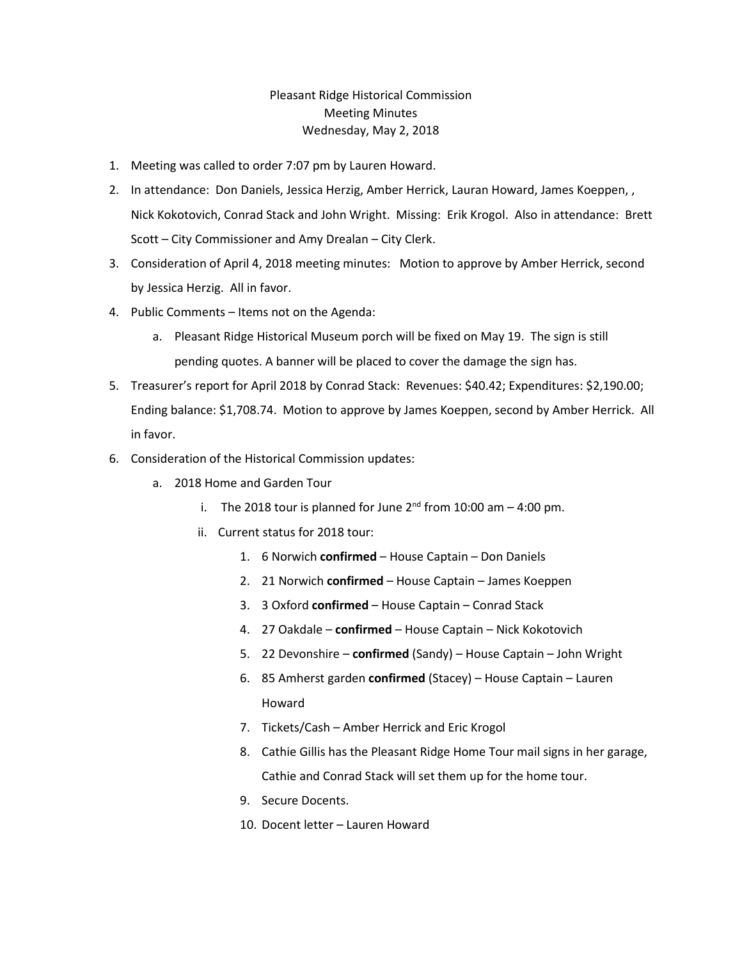## Pleasant Ridge Historical Commission Meeting Minutes Wednesday, May 2, 2018

- 1. Meeting was called to order 7:07 pm by Lauren Howard.
- 2. In attendance: Don Daniels, Jessica Herzig, Amber Herrick, Lauran Howard, James Koeppen, , Nick Kokotovich, Conrad Stack and John Wright. Missing: Erik Krogol. Also in attendance: Brett Scott – City Commissioner and Amy Drealan – City Clerk.
- 3. Consideration of April 4, 2018 meeting minutes: Motion to approve by Amber Herrick, second by Jessica Herzig. All in favor.
- 4. Public Comments Items not on the Agenda:
	- a. Pleasant Ridge Historical Museum porch will be fixed on May 19. The sign is still pending quotes. A banner will be placed to cover the damage the sign has.
- 5. Treasurer's report for April 2018 by Conrad Stack: Revenues: \$40.42; Expenditures: \$2,190.00; Ending balance: \$1,708.74. Motion to approve by James Koeppen, second by Amber Herrick. All in favor.
- 6. Consideration of the Historical Commission updates:
	- a. 2018 Home and Garden Tour
		- i. The 2018 tour is planned for June  $2^{nd}$  from 10:00 am  $-$  4:00 pm.
		- ii. Current status for 2018 tour:
			- 1. 6 Norwich **confirmed** House Captain Don Daniels
			- 2. 21 Norwich **confirmed** House Captain James Koeppen
			- 3. 3 Oxford **confirmed** House Captain Conrad Stack
			- 4. 27 Oakdale **confirmed** House Captain Nick Kokotovich
			- 5. 22 Devonshire **confirmed** (Sandy) House Captain John Wright
			- 6. 85 Amherst garden **confirmed** (Stacey) House Captain Lauren Howard
			- 7. Tickets/Cash Amber Herrick and Eric Krogol
			- 8. Cathie Gillis has the Pleasant Ridge Home Tour mail signs in her garage, Cathie and Conrad Stack will set them up for the home tour.
			- 9. Secure Docents.
			- 10. Docent letter Lauren Howard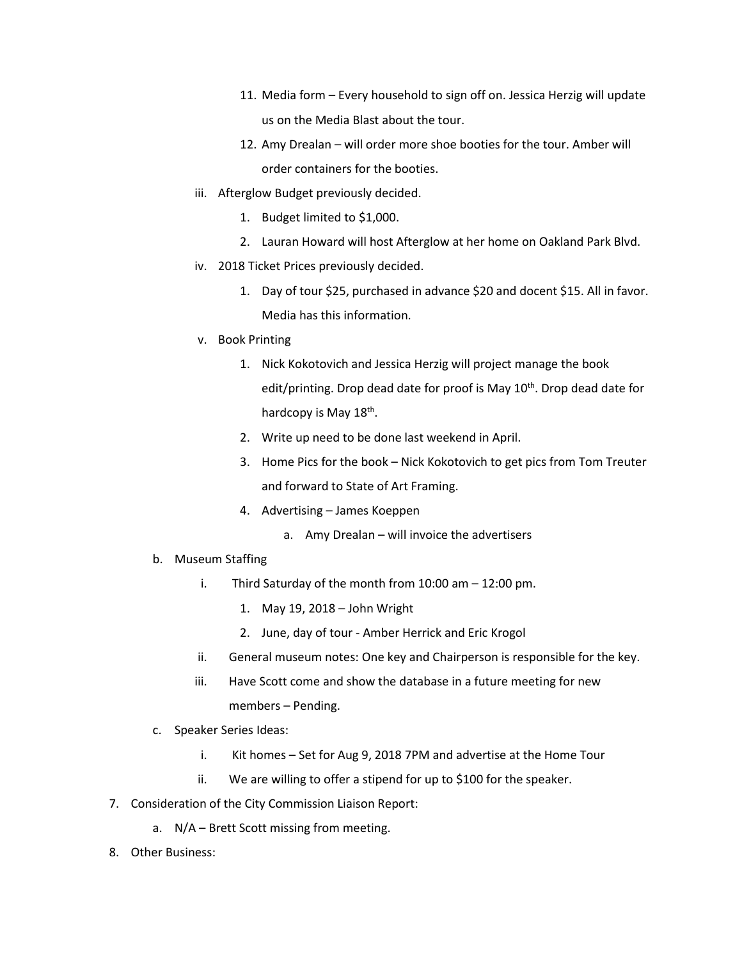- 11. Media form Every household to sign off on. Jessica Herzig will update us on the Media Blast about the tour.
- 12. Amy Drealan will order more shoe booties for the tour. Amber will order containers for the booties.
- iii. Afterglow Budget previously decided.
	- 1. Budget limited to \$1,000.
	- 2. Lauran Howard will host Afterglow at her home on Oakland Park Blvd.
- iv. 2018 Ticket Prices previously decided.
	- 1. Day of tour \$25, purchased in advance \$20 and docent \$15. All in favor. Media has this information.
- v. Book Printing
	- 1. Nick Kokotovich and Jessica Herzig will project manage the book edit/printing. Drop dead date for proof is May 10<sup>th</sup>. Drop dead date for hardcopy is May 18<sup>th</sup>.
	- 2. Write up need to be done last weekend in April.
	- 3. Home Pics for the book Nick Kokotovich to get pics from Tom Treuter and forward to State of Art Framing.
	- 4. Advertising James Koeppen
		- a. Amy Drealan will invoice the advertisers
- b. Museum Staffing
	- i. Third Saturday of the month from 10:00 am 12:00 pm.
		- 1. May 19, 2018 John Wright
		- 2. June, day of tour Amber Herrick and Eric Krogol
	- ii. General museum notes: One key and Chairperson is responsible for the key.
	- iii. Have Scott come and show the database in a future meeting for new members – Pending.
- c. Speaker Series Ideas:
	- i. Kit homes Set for Aug 9, 2018 7PM and advertise at the Home Tour
	- ii. We are willing to offer a stipend for up to \$100 for the speaker.
- 7. Consideration of the City Commission Liaison Report:
	- a. N/A Brett Scott missing from meeting.
- 8. Other Business: